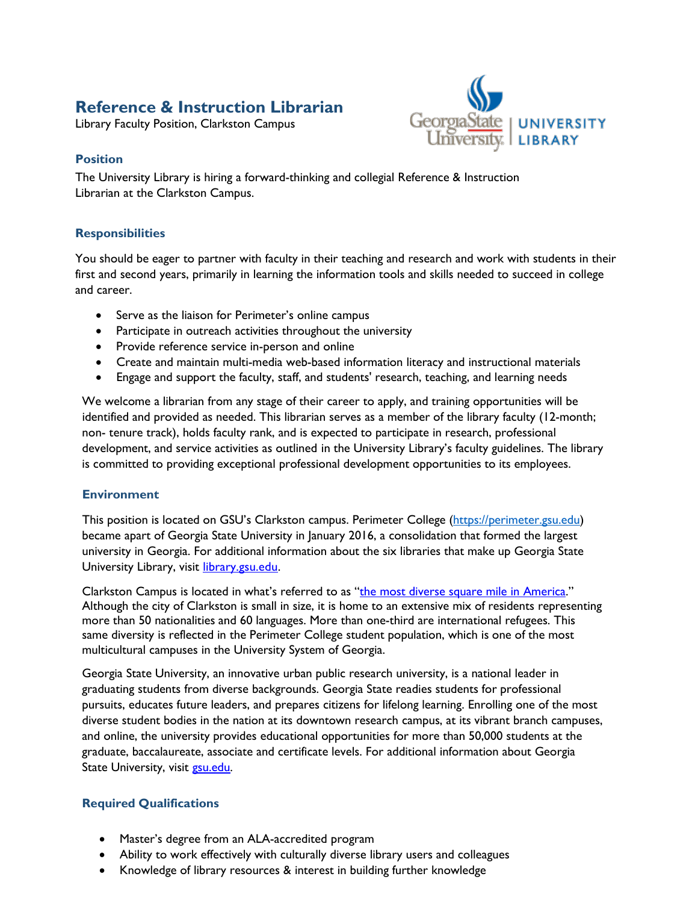# **Reference & Instruction Librarian**

Library Faculty Position, Clarkston Campus



### **Position**

The University Library is hiring a forward-thinking and collegial Reference & Instruction Librarian at the Clarkston Campus.

#### **Responsibilities**

You should be eager to partner with faculty in their teaching and research and work with students in their first and second years, primarily in learning the information tools and skills needed to succeed in college and career.

- Serve as the liaison for Perimeter's online campus
- Participate in outreach activities throughout the university
- Provide reference service in-person and online
- Create and maintain multi-media web-based information literacy and instructional materials
- Engage and support the faculty, staff, and students' research, teaching, and learning needs

We welcome a librarian from any stage of their career to apply, and training opportunities will be identified and provided as needed. This librarian serves as a member of the library faculty (12-month; non- tenure track), holds faculty rank, and is expected to participate in research, professional development, and service activities as outlined in the University Library's faculty guidelines. The library is committed to providing exceptional professional development opportunities to its employees.

### **Environment**

This position is located on GSU's Clarkston campus. Perimeter College [\(https://perimeter.gsu.edu\)](https://perimeter.gsu.edu/) became apart of Georgia State University in January 2016, a consolidation that formed the largest university in Georgia. For additional information about the six libraries that make up Georgia State University Library, visit [library.gsu.edu.](http://library.gsu.edu/)

Clarkston Campus is located in what's referred to as ["the most diverse square mile in America."](https://www.atlantamagazine.com/great-reads/ellis-island-south-welcome-diverse-square-mile-america/) Although the city of Clarkston is small in size, it is home to an extensive mix of residents representing more than 50 nationalities and 60 languages. More than one-third are international refugees. This same diversity is reflected in the Perimeter College student population, which is one of the most multicultural campuses in the University System of Georgia.

Georgia State University, an innovative urban public research university, is a national leader in graduating students from diverse backgrounds. Georgia State readies students for professional pursuits, educates future leaders, and prepares citizens for lifelong learning. Enrolling one of the most diverse student bodies in the nation at its downtown research campus, at its vibrant branch campuses, and online, the university provides educational opportunities for more than 50,000 students at the graduate, baccalaureate, associate and certificate levels. For additional information about Georgia State University, visit [gsu.edu.](https://www.gsu.edu/)

### **Required Qualifications**

- Master's degree from an ALA-accredited program
- Ability to work effectively with culturally diverse library users and colleagues
- Knowledge of library resources & interest in building further knowledge